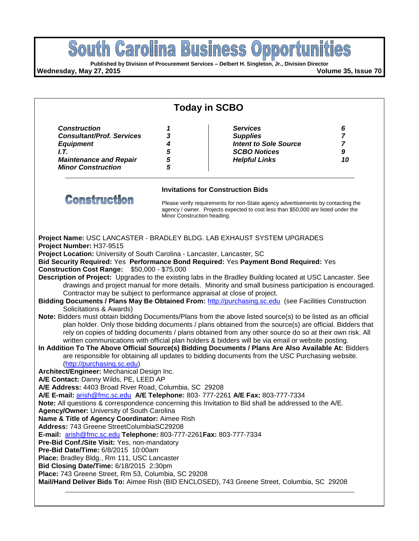

rely on copies of bidding documents / plans obtained from any other source do so at their own risk. All written communications with official plan holders & bidders will be via email or website posting. **In Addition To The Above Official Source(s) Bidding Documents / Plans Are Also Available At:** Bidders

are responsible for obtaining all updates to bidding documents from the USC Purchasing website. [\(http://purchasing.sc.edu\)](http://purchasing.sc.edu/)

**Architect/Engineer:** Mechanical Design Inc.

**A/E Contact:** Danny Wilds, PE, LEED AP

**A/E Address:** 4403 Broad River Road, Columbia, SC 29208

**A/E E-mail:** [arish@fmc.sc.edu](mailto:arish@fmc.sc.edu) **A/E Telephone:** 803- 777-2261 **A/E Fax:** 803-777-7334

**Note:** All questions & correspondence concerning this Invitation to Bid shall be addressed to the A/E.

**Agency/Owner:** University of South Carolina

**Name & Title of Agency Coordinator:** Aimee Rish

**Address:** 743 Greene StreetColumbiaSC29208

**E-mail:** [arish@fmc.sc.edu](mailto:arish@fmc.sc.edu) **Telephone:** 803-777-2261**Fax:** 803-777-7334

**Pre-Bid Conf./Site Visit:** Yes, non-mandatory

**Pre-Bid Date/Time:** 6/8/2015 10:00am

**Place:** Bradley Bldg., Rm 111, USC Lancaster

**Bid Closing Date/Time:** 6/18/2015 2:30pm

**Place:** 743 Greene Street, Rm 53, Columbia, SC 29208

**Mail/Hand Deliver Bids To:** Aimee Rish (BID ENCLOSED), 743 Greene Street, Columbia, SC 29208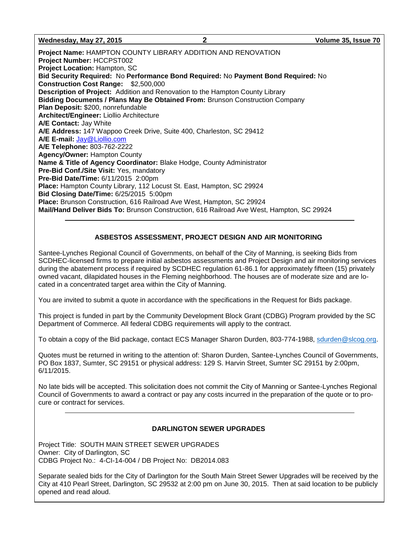**Wednesday, May 27, 2015 2 Volume 35, Issue 70**

**Project Name:** HAMPTON COUNTY LIBRARY ADDITION AND RENOVATION **Project Number:** HCCPST002 **Project Location:** Hampton, SC **Bid Security Required:** No **Performance Bond Required:** No **Payment Bond Required:** No **Construction Cost Range:** \$2,500,000 **Description of Project:** Addition and Renovation to the Hampton County Library **Bidding Documents / Plans May Be Obtained From:** Brunson Construction Company **Plan Deposit:** \$200, nonrefundable **Architect/Engineer:** Liollio Architecture **A/E Contact:** Jay White **A/E Address:** 147 Wappoo Creek Drive, Suite 400, Charleston, SC 29412 **A/E E-mail:** [Jay@Liollio.com](mailto:Jay@Liollio.com) **A/E Telephone:** 803-762-2222 **Agency/Owner:** Hampton County **Name & Title of Agency Coordinator:** Blake Hodge, County Administrator **Pre-Bid Conf./Site Visit:** Yes, mandatory **Pre-Bid Date/Time:** 6/11/2015 2:00pm **Place:** Hampton County Library, 112 Locust St. East, Hampton, SC 29924 **Bid Closing Date/Time:** 6/25/2015 5:00pm **Place:** Brunson Construction, 616 Railroad Ave West, Hampton, SC 29924 **Mail/Hand Deliver Bids To:** Brunson Construction, 616 Railroad Ave West, Hampton, SC 29924

### **ASBESTOS ASSESSMENT, PROJECT DESIGN AND AIR MONITORING**

Santee-Lynches Regional Council of Governments, on behalf of the City of Manning, is seeking Bids from SCDHEC-licensed firms to prepare initial asbestos assessments and Project Design and air monitoring services during the abatement process if required by SCDHEC regulation 61-86.1 for approximately fifteen (15) privately owned vacant, dilapidated houses in the Fleming neighborhood. The houses are of moderate size and are located in a concentrated target area within the City of Manning.

You are invited to submit a quote in accordance with the specifications in the Request for Bids package.

This project is funded in part by the Community Development Block Grant (CDBG) Program provided by the SC Department of Commerce. All federal CDBG requirements will apply to the contract.

To obtain a copy of the Bid package, contact ECS Manager Sharon Durden, 803-774-1988, [sdurden@slcog.org.](mailto:sdurden@slcog.org)

Quotes must be returned in writing to the attention of: Sharon Durden, Santee-Lynches Council of Governments, PO Box 1837, Sumter, SC 29151 or physical address: 129 S. Harvin Street, Sumter SC 29151 by 2:00pm, 6/11/2015.

No late bids will be accepted. This solicitation does not commit the City of Manning or Santee-Lynches Regional Council of Governments to award a contract or pay any costs incurred in the preparation of the quote or to procure or contract for services.

### **DARLINGTON SEWER UPGRADES**

Project Title: SOUTH MAIN STREET SEWER UPGRADES Owner: City of Darlington, SC CDBG Project No.: 4-CI-14-004 / DB Project No: DB2014.083

Separate sealed bids for the City of Darlington for the South Main Street Sewer Upgrades will be received by the City at 410 Pearl Street, Darlington, SC 29532 at 2:00 pm on June 30, 2015. Then at said location to be publicly opened and read aloud.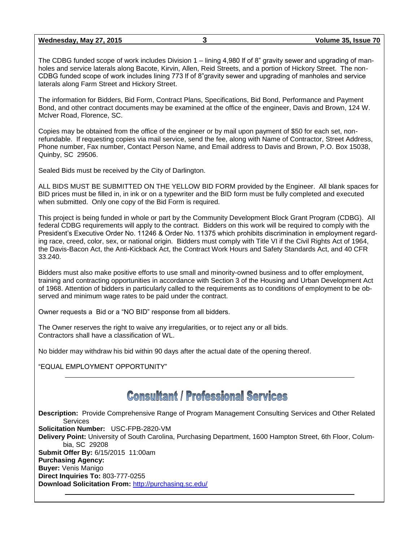The CDBG funded scope of work includes Division 1 – lining 4,980 lf of 8" gravity sewer and upgrading of manholes and service laterals along Bacote, Kirvin, Allen, Reid Streets, and a portion of Hickory Street. The non-CDBG funded scope of work includes lining 773 lf of 8"gravity sewer and upgrading of manholes and service laterals along Farm Street and Hickory Street.

The information for Bidders, Bid Form, Contract Plans, Specifications, Bid Bond, Performance and Payment Bond, and other contract documents may be examined at the office of the engineer, Davis and Brown, 124 W. McIver Road, Florence, SC.

Copies may be obtained from the office of the engineer or by mail upon payment of \$50 for each set, nonrefundable. If requesting copies via mail service, send the fee, along with Name of Contractor, Street Address, Phone number, Fax number, Contact Person Name, and Email address to Davis and Brown, P.O. Box 15038, Quinby, SC 29506.

Sealed Bids must be received by the City of Darlington.

ALL BIDS MUST BE SUBMITTED ON THE YELLOW BID FORM provided by the Engineer. All blank spaces for BID prices must be filled in, in ink or on a typewriter and the BID form must be fully completed and executed when submitted. Only one copy of the Bid Form is required.

This project is being funded in whole or part by the Community Development Block Grant Program (CDBG). All federal CDBG requirements will apply to the contract. Bidders on this work will be required to comply with the President's Executive Order No. 11246 & Order No. 11375 which prohibits discrimination in employment regarding race, creed, color, sex, or national origin. Bidders must comply with Title VI if the Civil Rights Act of 1964, the Davis-Bacon Act, the Anti-Kickback Act, the Contract Work Hours and Safety Standards Act, and 40 CFR 33.240.

Bidders must also make positive efforts to use small and minority-owned business and to offer employment, training and contracting opportunities in accordance with Section 3 of the Housing and Urban Development Act of 1968. Attention of bidders in particularly called to the requirements as to conditions of employment to be observed and minimum wage rates to be paid under the contract.

Owner requests a Bid or a "NO BID" response from all bidders.

The Owner reserves the right to waive any irregularities, or to reject any or all bids. Contractors shall have a classification of WL.

No bidder may withdraw his bid within 90 days after the actual date of the opening thereof.

"EQUAL EMPLOYMENT OPPORTUNITY"

# **Consultant / Professional Services**

**Description:** Provide Comprehensive Range of Program Management Consulting Services and Other Related Services **Solicitation Number:** USC-FPB-2820-VM **Delivery Point:** University of South Carolina, Purchasing Department, 1600 Hampton Street, 6th Floor, Columbia, SC 29208 **Submit Offer By:** 6/15/2015 11:00am **Purchasing Agency: Buyer:** Venis Manigo **Direct Inquiries To:** 803-777-0255 **Download Solicitation From:** <http://purchasing.sc.edu/>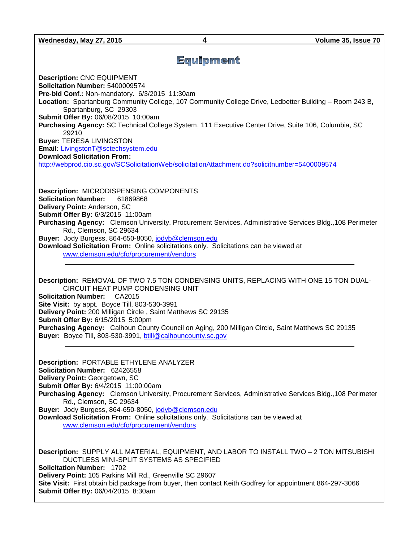**Wednesday, May 27, 2015 4 Volume 35, Issue 70**

### Equipment

**Description:** CNC EQUIPMENT **Solicitation Number:** 5400009574 **Pre-bid Conf.:** Non-mandatory. 6/3/2015 11:30am **Location:** Spartanburg Community College, 107 Community College Drive, Ledbetter Building – Room 243 B, Spartanburg, SC 29303 **Submit Offer By:** 06/08/2015 10:00am **Purchasing Agency:** SC Technical College System, 111 Executive Center Drive, Suite 106, Columbia, SC 29210 **Buyer:** TERESA LIVINGSTON **Email:** [LivingstonT@sctechsystem.edu](mailto:LivingstonT@sctechsystem.edu) **Download Solicitation From:**  <http://webprod.cio.sc.gov/SCSolicitationWeb/solicitationAttachment.do?solicitnumber=5400009574>

**Description:** MICRODISPENSING COMPONENTS **Solicitation Number:** 61869868 **Delivery Point:** Anderson, SC **Submit Offer By:** 6/3/2015 11:00am **Purchasing Agency:** Clemson University, Procurement Services, Administrative Services Bldg.,108 Perimeter Rd., Clemson, SC 29634 **Buyer:** Jody Burgess, 864-650-8050, [jodyb@clemson.edu](mailto:jodyb@clemson.edu) **Download Solicitation From:** Online solicitations only. Solicitations can be viewed at [www.clemson.edu/cfo/procurement/vendors](http://www.clemson.edu/cfo/procurement/vendors)

**Description:** REMOVAL OF TWO 7.5 TON CONDENSING UNITS, REPLACING WITH ONE 15 TON DUAL-CIRCUIT HEAT PUMP CONDENSING UNIT **Solicitation Number:** CA2015 **Site Visit:** by appt. Boyce Till, 803-530-3991 **Delivery Point:** 200 Milligan Circle , Saint Matthews SC 29135 **Submit Offer By:** 6/15/2015 5:00pm **Purchasing Agency:** Calhoun County Council on Aging, 200 Milligan Circle, Saint Matthews SC 29135 **Buyer:** Boyce Till, 803-530-3991, [btill@calhouncounty.sc.gov](mailto:btill@calhouncounty.sc.gov)

**Description:** PORTABLE ETHYLENE ANALYZER **Solicitation Number:** 62426558 **Delivery Point:** Georgetown, SC **Submit Offer By:** 6/4/2015 11:00:00am **Purchasing Agency:** Clemson University, Procurement Services, Administrative Services Bldg.,108 Perimeter Rd., Clemson, SC 29634 **Buyer:** Jody Burgess, 864-650-8050, [jodyb@clemson.edu](mailto:jodyb@clemson.edu) **Download Solicitation From:** Online solicitations only. Solicitations can be viewed at [www.clemson.edu/cfo/procurement/vendors](http://www.clemson.edu/cfo/procurement/vendors)

**Description:** SUPPLY ALL MATERIAL, EQUIPMENT, AND LABOR TO INSTALL TWO – 2 TON MITSUBISHI DUCTLESS MINI-SPLIT SYSTEMS AS SPECIFIED **Solicitation Number:** 1702 **Delivery Point:** 105 Parkins Mill Rd., Greenville SC 29607 **Site Visit:** First obtain bid package from buyer, then contact Keith Godfrey for appointment 864-297-3066 **Submit Offer By:** 06/04/2015 8:30am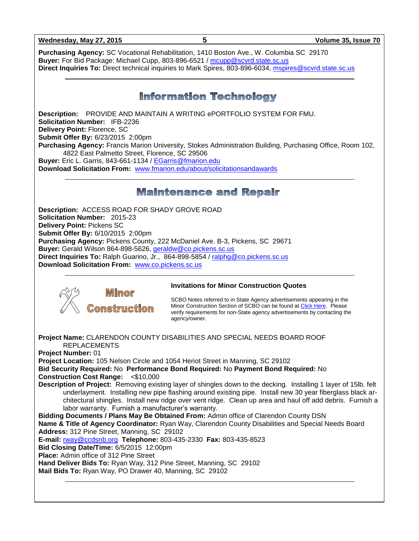**Wednesday, May 27, 2015 5 Volume 35, Issue 70**

**Purchasing Agency:** SC Vocational Rehabilitation, 1410 Boston Ave., W. Columbia SC 29170 **Buyer:** For Bid Package: Michael Cupp, 803-896-6521 / [mcupp@scvrd.state.sc.us](mailto:mcupp@scvrd.state.sc.us) **Direct Inquiries To:** Direct technical inquiries to Mark Spires, 803-896-6034, [mspires@scvrd.state.sc.us](mailto:mspires@scvrd.state.sc.us)

### **Information Technology**

**Description:** PROVIDE AND MAINTAIN A WRITING ePORTFOLIO SYSTEM FOR FMU. **Solicitation Number:** IFB-2236 **Delivery Point:** Florence, SC **Submit Offer By:** 6/23/2015 2:00pm **Purchasing Agency:** Francis Marion University, Stokes Administration Building, Purchasing Office, Room 102, 4822 East Palmetto Street, Florence, SC 29506 **Buyer:** Eric L. Garris, 843-661-1134 / [EGarris@fmarion.edu](mailto:EGarris@fmarion.edu) **Download Solicitation From:** [www.fmarion.edu/about/solicitationsandawards](http://www.fmarion.edu/about/solicitationsandawards)

### **Maintenance and Repair**

**Description:** ACCESS ROAD FOR SHADY GROVE ROAD **Solicitation Number:** 2015-23 **Delivery Point:** Pickens SC **Submit Offer By:** 6/10/2015 2:00pm **Purchasing Agency:** Pickens County, 222 McDaniel Ave. B-3, Pickens, SC 29671 **Buyer:** Gerald Wilson 864-898-5626, [geraldw@co.pickens.sc.us](mailto:geraldw@co.pickens.sc.us)  **Direct Inquiries To:** Ralph Guarino, Jr., 864-898-5854 / [ralphg@co.pickens.sc.us](mailto:ralphg@co.pickens.sc.us) **Download Solicitation From:** [www.co.pickens.sc.us](http://www.co.pickens.sc.us/)



### **Invitations for Minor Construction Quotes**

SCBO Notes referred to in State Agency advertisements appearing in the Minor Construction Section of SCBO can be found a[t Click Here.](http://www.mmo.sc.gov/PS/general/scbo/SCBO_Notes_060512.pdf) Please verify requirements for non-State agency advertisements by contacting the agency/owner.

**Project Name:** CLARENDON COUNTY DISABILITIES AND SPECIAL NEEDS BOARD ROOF REPLACEMENTS **Project Number:** 01 **Project Location:** 105 Nelson Circle and 1054 Heriot Street in Manning, SC 29102 **Bid Security Required:** No **Performance Bond Required:** No **Payment Bond Required:** No **Construction Cost Range:** <\$10,000 **Description of Project:** Removing existing layer of shingles down to the decking. Installing 1 layer of 15lb. felt underlayment. Installing new pipe flashing around existing pipe. Install new 30 year fiberglass black architectural shingles. Install new ridge over vent ridge. Clean up area and haul off add debris. Furnish a labor warranty. Furnish a manufacturer's warranty. **Bidding Documents / Plans May Be Obtained From:** Admin office of Clarendon County DSN **Name & Title of Agency Coordinator:** Ryan Way, Clarendon County Disabilities and Special Needs Board **Address:** 312 Pine Street, Manning, SC 29102 **E-mail:** [rway@ccdsnb.org](mailto:rway@ccdsnb.org) **Telephone:** 803-435-2330 **Fax:** 803-435-8523 **Bid Closing Date/Time:** 6/5/2015 12:00pm **Place:** Admin office of 312 Pine Street **Hand Deliver Bids To:** Ryan Way, 312 Pine Street, Manning, SC 29102 **Mail Bids To:** Ryan Way, PO Drawer 40, Manning, SC 29102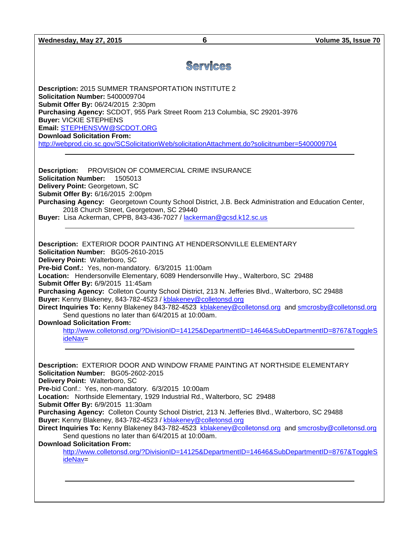**Wednesday, May 27, 2015 6 Volume 35, Issue 70**

# **Services**

**Description:** 2015 SUMMER TRANSPORTATION INSTITUTE 2 **Solicitation Number:** 5400009704 **Submit Offer By:** 06/24/2015 2:30pm **Purchasing Agency:** SCDOT, 955 Park Street Room 213 Columbia, SC 29201-3976 **Buyer:** VICKIE STEPHENS **Email:** [STEPHENSVW@SCDOT.ORG](mailto:STEPHENSVW@SCDOT.ORG) **Download Solicitation From:**  <http://webprod.cio.sc.gov/SCSolicitationWeb/solicitationAttachment.do?solicitnumber=5400009704>

**Description:** PROVISION OF COMMERCIAL CRIME INSURANCE **Solicitation Number:** 1505013 **Delivery Point:** Georgetown, SC **Submit Offer By:** 6/16/2015 2:00pm **Purchasing Agency:** Georgetown County School District, J.B. Beck Administration and Education Center, 2018 Church Street, Georgetown, SC 29440 **Buyer:** Lisa Ackerman, CPPB, 843-436-7027 / [lackerman@gcsd.k12.sc.us](mailto:lackerman@gcsd.k12.sc.us)

**Description:** EXTERIOR DOOR PAINTING AT HENDERSONVILLE ELEMENTARY **Solicitation Number:** BG05-2610-2015 **Delivery Point:** Walterboro, SC **Pre-bid Conf.:** Yes, non-mandatory. 6/3/2015 11:00am **Location:** Hendersonville Elementary, 6089 Hendersonville Hwy., Walterboro, SC 29488 **Submit Offer By:** 6/9/2015 11:45am **Purchasing Agency:** Colleton County School District, 213 N. Jefferies Blvd., Walterboro, SC 29488 **Buyer:** Kenny Blakeney, 843-782-4523 / [kblakeney@colletonsd.org](mailto:kblakeney@colletonsd.org) **Direct Inquiries To:** Kenny Blakeney 843-782-4523 [kblakeney@colletonsd.org](mailto:kblakeney@colletonsd.org) and [smcrosby@colletonsd.org](mailto:smcrosby@colletonsd.org) Send questions no later than 6/4/2015 at 10:00am. **Download Solicitation From:**

[http://www.colletonsd.org/?DivisionID=14125&DepartmentID=14646&SubDepartmentID=8767&ToggleS](http://www.colletonsd.org/?DivisionID=14125&DepartmentID=14646&SubDepartmentID=8767&ToggleSideNav) [ideNav=](http://www.colletonsd.org/?DivisionID=14125&DepartmentID=14646&SubDepartmentID=8767&ToggleSideNav)

**Description:** EXTERIOR DOOR AND WINDOW FRAME PAINTING AT NORTHSIDE ELEMENTARY **Solicitation Number:** BG05-2602-2015 **Delivery Point:** Walterboro, SC **Pre-**bid Conf.: Yes, non-mandatory. 6/3/2015 10:00am **Location:** Northside Elementary, 1929 Industrial Rd., Walterboro, SC 29488 **Submit Offer By:** 6/9/2015 11:30am **Purchasing Agency:** Colleton County School District, 213 N. Jefferies Blvd., Walterboro, SC 29488 **Buyer:** Kenny Blakeney, 843-782-4523 / [kblakeney@colletonsd.org](mailto:kblakeney@colletonsd.org) **Direct Inquiries To:** Kenny Blakeney 843-782-4523 [kblakeney@colletonsd.org](mailto:kblakeney@colletonsd.org) and [smcrosby@colletonsd.org](mailto:smcrosby@colletonsd.org) Send questions no later than 6/4/2015 at 10:00am. **Download Solicitation From:** [http://www.colletonsd.org/?DivisionID=14125&DepartmentID=14646&SubDepartmentID=8767&ToggleS](http://www.colletonsd.org/?DivisionID=14125&DepartmentID=14646&SubDepartmentID=8767&ToggleSideNav) [ideNav=](http://www.colletonsd.org/?DivisionID=14125&DepartmentID=14646&SubDepartmentID=8767&ToggleSideNav)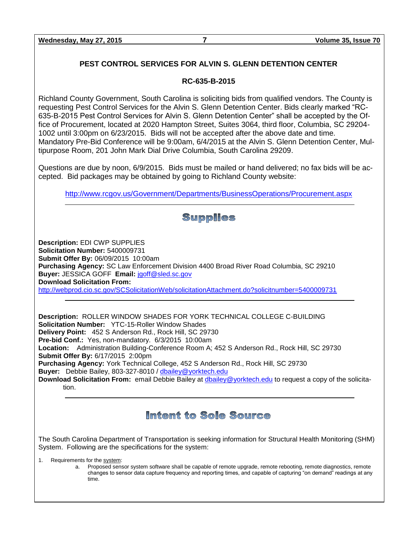**Wednesday, May 27, 2015 7 Volume 35, Issue 70**

### **PEST CONTROL SERVICES FOR ALVIN S. GLENN DETENTION CENTER**

### **RC-635-B-2015**

Richland County Government, South Carolina is soliciting bids from qualified vendors. The County is requesting Pest Control Services for the Alvin S. Glenn Detention Center. Bids clearly marked "RC-635-B-2015 Pest Control Services for Alvin S. Glenn Detention Center" shall be accepted by the Office of Procurement, located at 2020 Hampton Street, Suites 3064, third floor, Columbia, SC 29204- 1002 until 3:00pm on 6/23/2015. Bids will not be accepted after the above date and time. Mandatory Pre-Bid Conference will be 9:00am, 6/4/2015 at the Alvin S. Glenn Detention Center, Multipurpose Room, 201 John Mark Dial Drive Columbia, South Carolina 29209.

Questions are due by noon, 6/9/2015. Bids must be mailed or hand delivered; no fax bids will be accepted. Bid packages may be obtained by going to Richland County website:

<http://www.rcgov.us/Government/Departments/BusinessOperations/Procurement.aspx>

### **Supplies Description:** EDI CWP SUPPLIES **Solicitation Number:** 5400009731 **Submit Offer By:** 06/09/2015 10:00am **Purchasing Agency:** SC Law Enforcement Division 4400 Broad River Road Columbia, SC 29210 **Buyer:** JESSICA GOFF **Email:** [jgoff@sled.sc.gov](mailto:jgoff@sled.sc.gov) **Download Solicitation From:**  <http://webprod.cio.sc.gov/SCSolicitationWeb/solicitationAttachment.do?solicitnumber=5400009731> **Description:** ROLLER WINDOW SHADES FOR YORK TECHNICAL COLLEGE C-BUILDING **Solicitation Number:** YTC-15-Roller Window Shades **Delivery Point:** 452 S Anderson Rd., Rock Hill, SC 29730 **Pre-bid Conf.:** Yes, non-mandatory. 6/3/2015 10:00am **Location:** Administration Building-Conference Room A; 452 S Anderson Rd., Rock Hill, SC 29730 **Submit Offer By:** 6/17/2015 2:00pm

**Purchasing Agency:** York Technical College, 452 S Anderson Rd., Rock Hill, SC 29730 **Buyer:** Debbie Bailey, 803-327-8010 / [dbailey@yorktech.edu](mailto:dbailey@yorktech.edu)

**Download Solicitation From:** email Debbie Bailey at [dbailey@yorktech.edu](mailto:dbailey@yorktech.edu) to request a copy of the solicitation.

# Intent to Sole Source

The South Carolina Department of Transportation is seeking information for Structural Health Monitoring (SHM) System. Following are the specifications for the system:

1. Requirements for the system:

a. Proposed sensor system software shall be capable of remote upgrade, remote rebooting, remote diagnostics, remote changes to sensor data capture frequency and reporting times, and capable of capturing "on demand" readings at any time.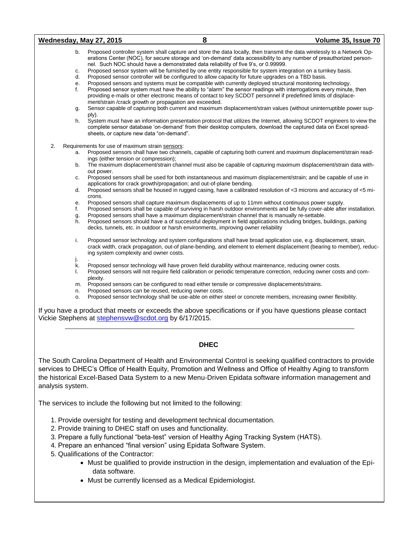| Wednesday, May 27, 2015                            |                                                                                                                  | 8                                                                                                                                                                                                                                                                                                                                                                                                                                                                                                                                                                                                                                                                                                                                                                                                                                                                                                                                                                                                                                                                                                                                                                                                                                                                                                                                               | Volume 35, Issue 70 |
|----------------------------------------------------|------------------------------------------------------------------------------------------------------------------|-------------------------------------------------------------------------------------------------------------------------------------------------------------------------------------------------------------------------------------------------------------------------------------------------------------------------------------------------------------------------------------------------------------------------------------------------------------------------------------------------------------------------------------------------------------------------------------------------------------------------------------------------------------------------------------------------------------------------------------------------------------------------------------------------------------------------------------------------------------------------------------------------------------------------------------------------------------------------------------------------------------------------------------------------------------------------------------------------------------------------------------------------------------------------------------------------------------------------------------------------------------------------------------------------------------------------------------------------|---------------------|
| b.<br>c.<br>d.<br>е.<br>f.<br>g.<br>h.             | ply).<br>sheets, or capture new data "on-demand".                                                                | Proposed controller system shall capture and store the data locally, then transmit the data wirelessly to a Network Op-<br>erations Center (NOC), for secure storage and 'on-demand' data accessibility to any number of preauthorized person-<br>nel. Such NOC should have a demonstrated data reliability of five 9's, or 0.99999.<br>Proposed sensor system will be furnished by one entity responsible for system integration on a turnkey basis.<br>Proposed sensor controller will be configured to allow capacity for future upgrades on a TBD basis.<br>Proposed sensors and systems must be compatible with currently deployed structural monitoring technology.<br>Proposed sensor system must have the ability to "alarm" the sensor readings with interrogations every minute, then<br>providing e-mails or other electronic means of contact to key SCDOT personnel if predefined limits of displace-<br>ment/strain /crack growth or propagation are exceeded.<br>Sensor capable of capturing both current and maximum displacement/strain values (without uninterruptible power sup-<br>System must have an information presentation protocol that utilizes the Internet, allowing SCDOT engineers to view the<br>complete sensor database 'on-demand' from their desktop computers, download the captured data on Excel spread- |                     |
| 2.<br>a.<br>b.<br>с.<br>d.<br>е.<br>f.<br>g.<br>h. | Requirements for use of maximum strain sensors:<br>ings (either tension or compression);<br>out power.<br>crons. | Proposed sensors shall have two channels, capable of capturing both current and maximum displacement/strain read-<br>The maximum displacement/strain channel must also be capable of capturing maximum displacement/strain data with-<br>Proposed sensors shall be used for both instantaneous and maximum displacement/strain; and be capable of use in<br>applications for crack growth/propagation; and out-of-plane bending.<br>Proposed sensors shall be housed in rugged casing, have a calibrated resolution of <3 microns and accuracy of <5 mi-<br>Proposed sensors shall capture maximum displacements of up to 11mm without continuous power supply.<br>Proposed sensors shall be capable of surviving in harsh outdoor environments and be fully cover-able after installation.<br>Proposed sensors shall have a maximum displacement/strain channel that is manually re-settable.<br>Proposed sensors should have a of successful deployment in field applications including bridges, buildings, parking<br>decks, tunnels, etc. in outdoor or harsh environments, improving owner reliability                                                                                                                                                                                                                                     |                     |
| i.<br>j.<br>k.<br>Ι.                               | ing system complexity and owner costs.<br>plexity.                                                               | Proposed sensor technology and system configurations shall have broad application use, e.g. displacement, strain,<br>crack width, crack propagation, out-of plane-bending, and element to element displacement (bearing to member), reduc-<br>Proposed sensor technology will have proven field durability without maintenance, reducing owner costs.<br>Proposed sensors will not require field calibration or periodic temperature correction, reducing owner costs and com-                                                                                                                                                                                                                                                                                                                                                                                                                                                                                                                                                                                                                                                                                                                                                                                                                                                                  |                     |
| m.<br>n.<br>о.                                     | Vickie Stephens at stephensyw@scdot.org by 6/17/2015.                                                            | Proposed sensors can be configured to read either tensile or compressive displacements/strains.<br>Proposed sensors can be reused, reducing owner costs.<br>Proposed sensor technology shall be use-able on either steel or concrete members, increasing owner flexibility.<br>If you have a product that meets or exceeds the above specifications or if you have questions please contact                                                                                                                                                                                                                                                                                                                                                                                                                                                                                                                                                                                                                                                                                                                                                                                                                                                                                                                                                     |                     |

#### **DHEC**

The South Carolina Department of Health and Environmental Control is seeking qualified contractors to provide services to DHEC's Office of Health Equity, Promotion and Wellness and Office of Healthy Aging to transform the historical Excel-Based Data System to a new Menu-Driven Epidata software information management and analysis system.

The services to include the following but not limited to the following:

- 1. Provide oversight for testing and development technical documentation.
- 2. Provide training to DHEC staff on uses and functionality.
- 3. Prepare a fully functional "beta-test" version of Healthy Aging Tracking System (HATS).
- 4. Prepare an enhanced "final version" using Epidata Software System.
- 5. Qualifications of the Contractor:
	- Must be qualified to provide instruction in the design, implementation and evaluation of the Epidata software.
	- Must be currently licensed as a Medical Epidemiologist.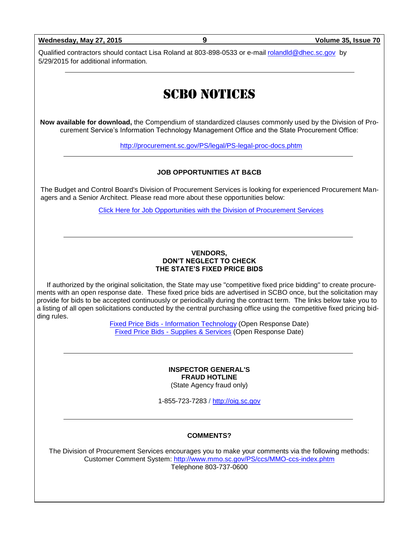**Wednesday, May 27, 2015 9 Volume 35, Issue 70**

Qualified contractors should contact Lisa Roland at 803-898-0533 or e-mail [rolandld@dhec.sc.gov](mailto:rolandld@dhec.sc.gov) by 5/29/2015 for additional information.

# SCBO NOTICES

**Now available for download,** the Compendium of standardized clauses commonly used by the Division of Procurement Service's Information Technology Management Office and the State Procurement Office:

<http://procurement.sc.gov/PS/legal/PS-legal-proc-docs.phtm>

#### **JOB OPPORTUNITIES AT B&CB**

The Budget and Control Board's Division of Procurement Services is looking for experienced Procurement Managers and a Senior Architect. Please read more about these opportunities below:

[Click Here for Job Opportunities with the Division of Procurement Services](http://procurement.sc.gov/webfiles/MMO_scbo/SCBO%20Online/DPS_procurement_opportunities.pdf)

#### **VENDORS, DON'T NEGLECT TO CHECK THE STATE'S FIXED PRICE BIDS**

If authorized by the original solicitation, the State may use "competitive fixed price bidding" to create procurements with an open response date. These fixed price bids are advertised in SCBO once, but the solicitation may provide for bids to be accepted continuously or periodically during the contract term. The links below take you to a listing of all open solicitations conducted by the central purchasing office using the competitive fixed pricing bidding rules.

> Fixed Price Bids - [Information Technology](http://www.mmo.sc.gov/PS/vendor/PS-vendor-fixed-price-bids-it.phtm) (Open Response Date) Fixed Price Bids - [Supplies & Services](http://www.mmo.sc.gov/PS/vendor/PS-vendor-fixed-price-bids-ss.phtm) (Open Response Date)

#### **INSPECTOR GENERAL'S FRAUD HOTLINE** (State Agency fraud only)

1-855-723-7283 / [http://oig.sc.gov](http://oig.sc.gov/)

### **COMMENTS?**

The Division of Procurement Services encourages you to make your comments via the following methods: Customer Comment System:<http://www.mmo.sc.gov/PS/ccs/MMO-ccs-index.phtm> Telephone 803-737-0600